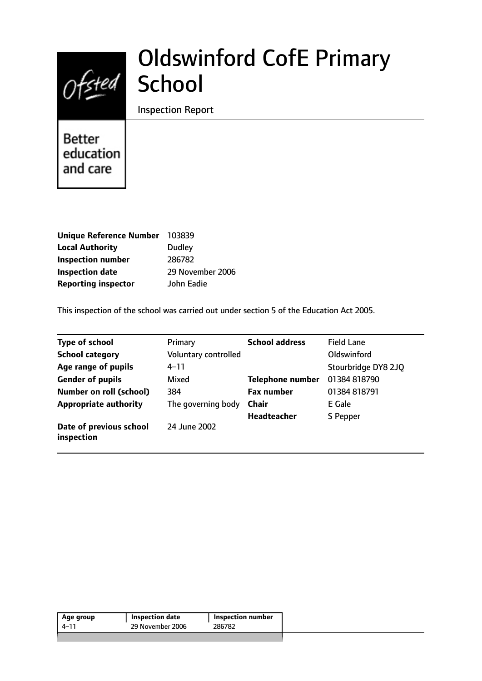# Ofsted School

# Oldswinford CofE Primary

Inspection Report

**Better** education and care

| Unique Reference Number 103839 |                  |
|--------------------------------|------------------|
| <b>Local Authority</b>         | Dudley           |
| <b>Inspection number</b>       | 286782           |
| <b>Inspection date</b>         | 29 November 2006 |
| <b>Reporting inspector</b>     | John Eadie       |

This inspection of the school was carried out under section 5 of the Education Act 2005.

| <b>Type of school</b>                 | Primary              | <b>School address</b>   | <b>Field Lane</b>   |
|---------------------------------------|----------------------|-------------------------|---------------------|
| <b>School category</b>                | Voluntary controlled |                         | Oldswinford         |
| Age range of pupils                   | $4 - 11$             |                         | Stourbridge DY8 2JQ |
| <b>Gender of pupils</b>               | Mixed                | <b>Telephone number</b> | 01384 818790        |
| <b>Number on roll (school)</b>        | 384                  | <b>Fax number</b>       | 01384 818791        |
| <b>Appropriate authority</b>          | The governing body   | <b>Chair</b>            | E Gale              |
|                                       |                      | <b>Headteacher</b>      | S Pepper            |
| Date of previous school<br>inspection | 24 June 2002         |                         |                     |

| 29 November 2006<br>286782<br>4–11 | Inspection number |  |
|------------------------------------|-------------------|--|
|                                    |                   |  |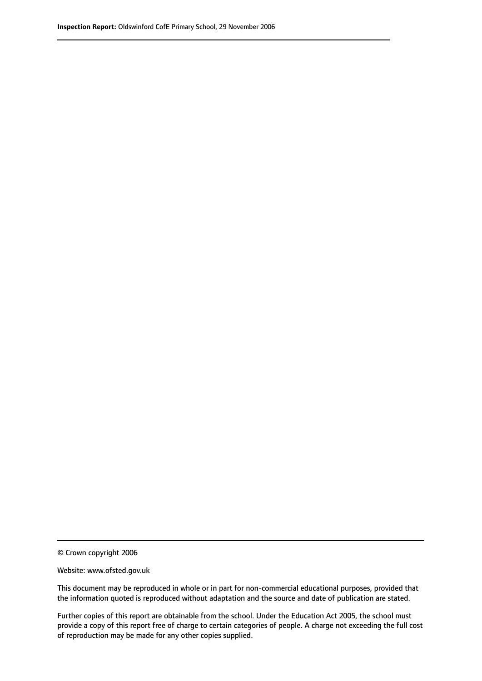© Crown copyright 2006

Website: www.ofsted.gov.uk

This document may be reproduced in whole or in part for non-commercial educational purposes, provided that the information quoted is reproduced without adaptation and the source and date of publication are stated.

Further copies of this report are obtainable from the school. Under the Education Act 2005, the school must provide a copy of this report free of charge to certain categories of people. A charge not exceeding the full cost of reproduction may be made for any other copies supplied.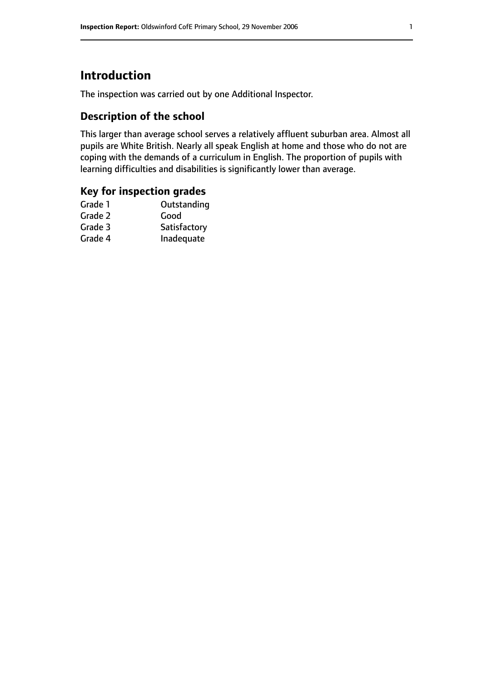# **Introduction**

The inspection was carried out by one Additional Inspector.

## **Description of the school**

This larger than average school serves a relatively affluent suburban area. Almost all pupils are White British. Nearly all speak English at home and those who do not are coping with the demands of a curriculum in English. The proportion of pupils with learning difficulties and disabilities is significantly lower than average.

### **Key for inspection grades**

| Outstanding  |
|--------------|
| Good         |
| Satisfactory |
| Inadequate   |
|              |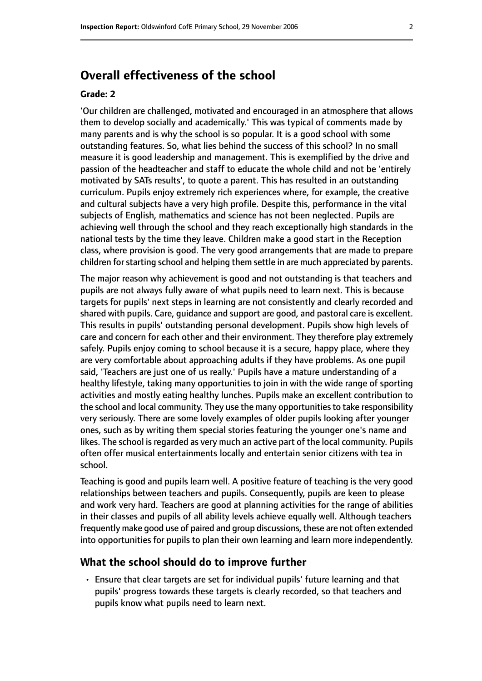# **Overall effectiveness of the school**

#### **Grade: 2**

'Our children are challenged, motivated and encouraged in an atmosphere that allows them to develop socially and academically.' This was typical of comments made by many parents and is why the school is so popular. It is a good school with some outstanding features. So, what lies behind the success of this school? In no small measure it is good leadership and management. This is exemplified by the drive and passion of the headteacher and staff to educate the whole child and not be 'entirely motivated by SATs results', to quote a parent. This has resulted in an outstanding curriculum. Pupils enjoy extremely rich experiences where, for example, the creative and cultural subjects have a very high profile. Despite this, performance in the vital subjects of English, mathematics and science has not been neglected. Pupils are achieving well through the school and they reach exceptionally high standards in the national tests by the time they leave. Children make a good start in the Reception class, where provision is good. The very good arrangements that are made to prepare children for starting school and helping them settle in are much appreciated by parents.

The major reason why achievement is good and not outstanding is that teachers and pupils are not always fully aware of what pupils need to learn next. This is because targets for pupils' next steps in learning are not consistently and clearly recorded and shared with pupils. Care, guidance and support are good, and pastoral care is excellent. This results in pupils' outstanding personal development. Pupils show high levels of care and concern for each other and their environment. They therefore play extremely safely. Pupils enjoy coming to school because it is a secure, happy place, where they are very comfortable about approaching adults if they have problems. As one pupil said, 'Teachers are just one of us really.' Pupils have a mature understanding of a healthy lifestyle, taking many opportunities to join in with the wide range of sporting activities and mostly eating healthy lunches. Pupils make an excellent contribution to the school and local community. They use the many opportunities to take responsibility very seriously. There are some lovely examples of older pupils looking after younger ones, such as by writing them special stories featuring the younger one's name and likes. The school is regarded as very much an active part of the local community. Pupils often offer musical entertainments locally and entertain senior citizens with tea in school.

Teaching is good and pupils learn well. A positive feature of teaching is the very good relationships between teachers and pupils. Consequently, pupils are keen to please and work very hard. Teachers are good at planning activities for the range of abilities in their classes and pupils of all ability levels achieve equally well. Although teachers frequently make good use of paired and group discussions, these are not often extended into opportunities for pupils to plan their own learning and learn more independently.

#### **What the school should do to improve further**

• Ensure that clear targets are set for individual pupils' future learning and that pupils' progress towards these targets is clearly recorded, so that teachers and pupils know what pupils need to learn next.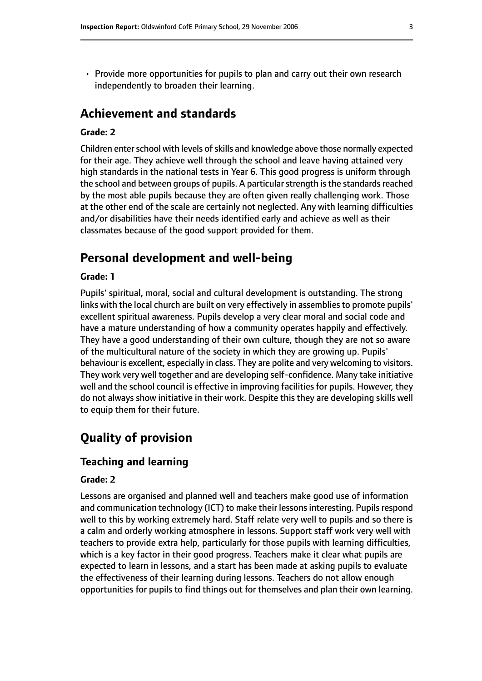• Provide more opportunities for pupils to plan and carry out their own research independently to broaden their learning.

## **Achievement and standards**

#### **Grade: 2**

Children enter school with levels of skills and knowledge above those normally expected for their age. They achieve well through the school and leave having attained very high standards in the national tests in Year 6. This good progress is uniform through the school and between groups of pupils. A particular strength is the standards reached by the most able pupils because they are often given really challenging work. Those at the other end of the scale are certainly not neglected. Any with learning difficulties and/or disabilities have their needs identified early and achieve as well as their classmates because of the good support provided for them.

## **Personal development and well-being**

#### **Grade: 1**

Pupils' spiritual, moral, social and cultural development is outstanding. The strong links with the local church are built on very effectively in assemblies to promote pupils' excellent spiritual awareness. Pupils develop a very clear moral and social code and have a mature understanding of how a community operates happily and effectively. They have a good understanding of their own culture, though they are not so aware of the multicultural nature of the society in which they are growing up. Pupils' behaviour is excellent, especially in class. They are polite and very welcoming to visitors. They work very well together and are developing self-confidence. Many take initiative well and the school council is effective in improving facilities for pupils. However, they do not always show initiative in their work. Despite this they are developing skills well to equip them for their future.

# **Quality of provision**

#### **Teaching and learning**

#### **Grade: 2**

Lessons are organised and planned well and teachers make good use of information and communication technology (ICT) to make their lessons interesting. Pupils respond well to this by working extremely hard. Staff relate very well to pupils and so there is a calm and orderly working atmosphere in lessons. Support staff work very well with teachers to provide extra help, particularly for those pupils with learning difficulties, which is a key factor in their good progress. Teachers make it clear what pupils are expected to learn in lessons, and a start has been made at asking pupils to evaluate the effectiveness of their learning during lessons. Teachers do not allow enough opportunities for pupils to find things out for themselves and plan their own learning.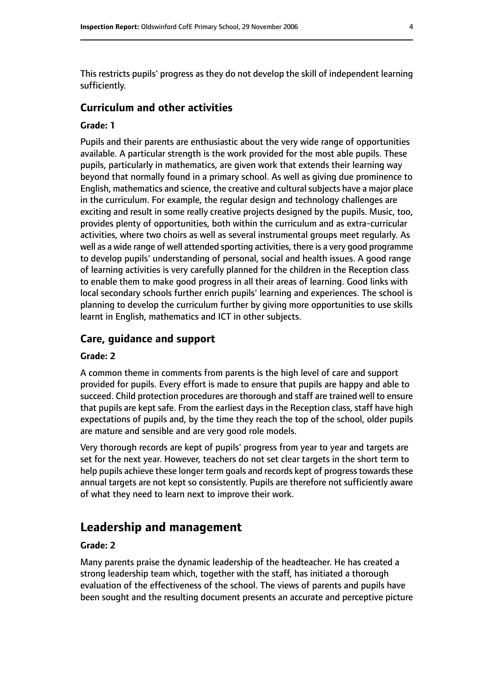This restricts pupils' progress as they do not develop the skill of independent learning sufficiently.

### **Curriculum and other activities**

#### **Grade: 1**

Pupils and their parents are enthusiastic about the very wide range of opportunities available. A particular strength is the work provided for the most able pupils. These pupils, particularly in mathematics, are given work that extends their learning way beyond that normally found in a primary school. As well as giving due prominence to English, mathematics and science, the creative and cultural subjects have a major place in the curriculum. For example, the regular design and technology challenges are exciting and result in some really creative projects designed by the pupils. Music, too, provides plenty of opportunities, both within the curriculum and as extra-curricular activities, where two choirs as well as several instrumental groups meet regularly. As well as a wide range of well attended sporting activities, there is a very good programme to develop pupils' understanding of personal, social and health issues. A good range of learning activities is very carefully planned for the children in the Reception class to enable them to make good progress in all their areas of learning. Good links with local secondary schools further enrich pupils' learning and experiences. The school is planning to develop the curriculum further by giving more opportunities to use skills learnt in English, mathematics and ICT in other subjects.

### **Care, guidance and support**

#### **Grade: 2**

A common theme in comments from parents is the high level of care and support provided for pupils. Every effort is made to ensure that pupils are happy and able to succeed. Child protection procedures are thorough and staff are trained well to ensure that pupils are kept safe. From the earliest days in the Reception class, staff have high expectations of pupils and, by the time they reach the top of the school, older pupils are mature and sensible and are very good role models.

Very thorough records are kept of pupils' progress from year to year and targets are set for the next year. However, teachers do not set clear targets in the short term to help pupils achieve these longer term goals and records kept of progress towards these annual targets are not kept so consistently. Pupils are therefore not sufficiently aware of what they need to learn next to improve their work.

# **Leadership and management**

### **Grade: 2**

Many parents praise the dynamic leadership of the headteacher. He has created a strong leadership team which, together with the staff, has initiated a thorough evaluation of the effectiveness of the school. The views of parents and pupils have been sought and the resulting document presents an accurate and perceptive picture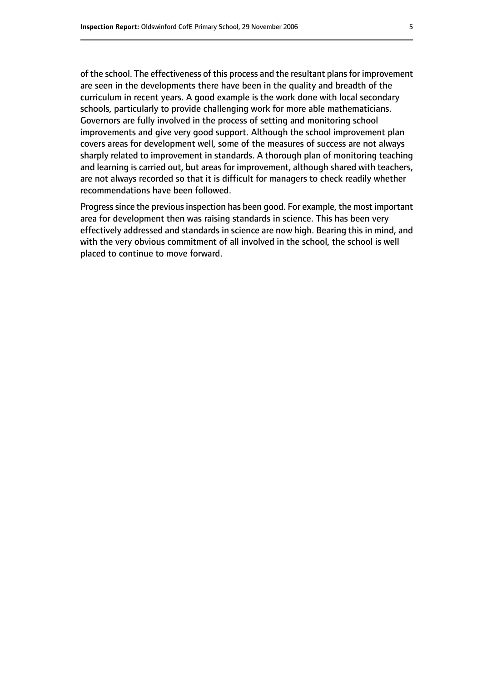of the school. The effectiveness of this process and the resultant plans for improvement are seen in the developments there have been in the quality and breadth of the curriculum in recent years. A good example is the work done with local secondary schools, particularly to provide challenging work for more able mathematicians. Governors are fully involved in the process of setting and monitoring school improvements and give very good support. Although the school improvement plan covers areas for development well, some of the measures of success are not always sharply related to improvement in standards. A thorough plan of monitoring teaching and learning is carried out, but areas for improvement, although shared with teachers, are not always recorded so that it is difficult for managers to check readily whether recommendations have been followed.

Progress since the previous inspection has been good. For example, the most important area for development then was raising standards in science. This has been very effectively addressed and standards in science are now high. Bearing this in mind, and with the very obvious commitment of all involved in the school, the school is well placed to continue to move forward.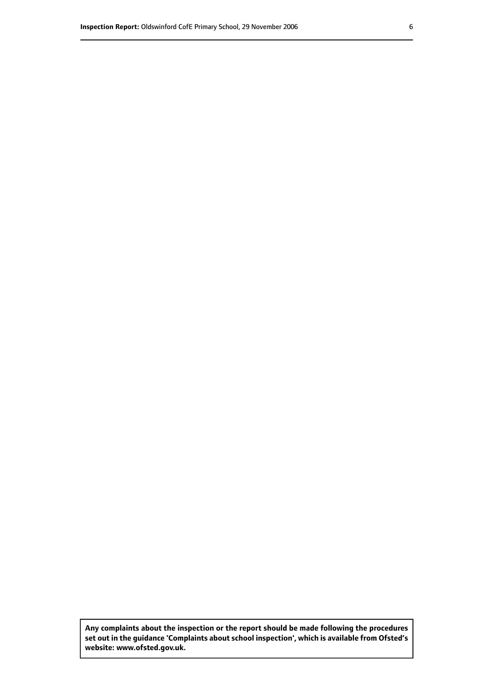**Any complaints about the inspection or the report should be made following the procedures set out inthe guidance 'Complaints about school inspection', whichis available from Ofsted's website: www.ofsted.gov.uk.**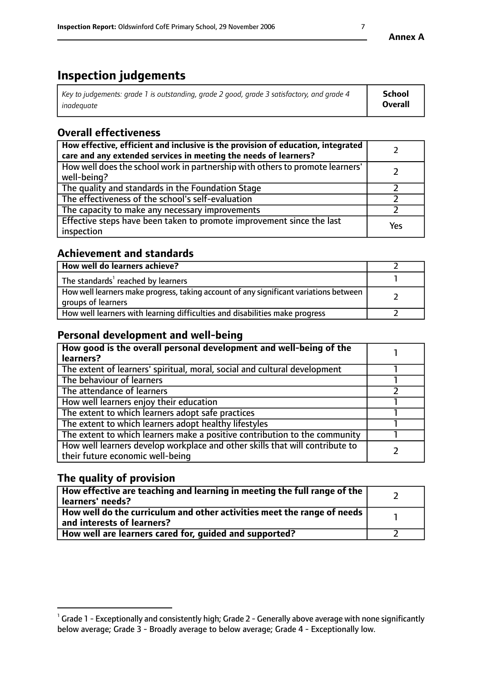# **Inspection judgements**

| Key to judgements: grade 1 is outstanding, grade 2 good, grade 3 satisfactory, and grade 4 | <b>School</b>  |
|--------------------------------------------------------------------------------------------|----------------|
| inadeauate                                                                                 | <b>Overall</b> |

# **Overall effectiveness**

| How effective, efficient and inclusive is the provision of education, integrated<br>care and any extended services in meeting the needs of learners? |     |
|------------------------------------------------------------------------------------------------------------------------------------------------------|-----|
| How well does the school work in partnership with others to promote learners'<br>well-being?                                                         |     |
| The quality and standards in the Foundation Stage                                                                                                    |     |
| The effectiveness of the school's self-evaluation                                                                                                    |     |
| The capacity to make any necessary improvements                                                                                                      |     |
| Effective steps have been taken to promote improvement since the last<br>inspection                                                                  | Yes |

## **Achievement and standards**

| How well do learners achieve?                                                                               |  |
|-------------------------------------------------------------------------------------------------------------|--|
| The standards <sup>1</sup> reached by learners                                                              |  |
| How well learners make progress, taking account of any significant variations between<br>groups of learners |  |
| How well learners with learning difficulties and disabilities make progress                                 |  |

## **Personal development and well-being**

| How good is the overall personal development and well-being of the<br>learners?                                  |  |
|------------------------------------------------------------------------------------------------------------------|--|
| The extent of learners' spiritual, moral, social and cultural development                                        |  |
| The behaviour of learners                                                                                        |  |
| The attendance of learners                                                                                       |  |
| How well learners enjoy their education                                                                          |  |
| The extent to which learners adopt safe practices                                                                |  |
| The extent to which learners adopt healthy lifestyles                                                            |  |
| The extent to which learners make a positive contribution to the community                                       |  |
| How well learners develop workplace and other skills that will contribute to<br>their future economic well-being |  |

## **The quality of provision**

| $\Box$ How effective are teaching and learning in meeting the full range of the $\Box$<br>  learners' needs?        |  |
|---------------------------------------------------------------------------------------------------------------------|--|
| $\mid$ How well do the curriculum and other activities meet the range of needs<br>$\mid$ and interests of learners? |  |
| How well are learners cared for, guided and supported?                                                              |  |

 $^1$  Grade 1 - Exceptionally and consistently high; Grade 2 - Generally above average with none significantly below average; Grade 3 - Broadly average to below average; Grade 4 - Exceptionally low.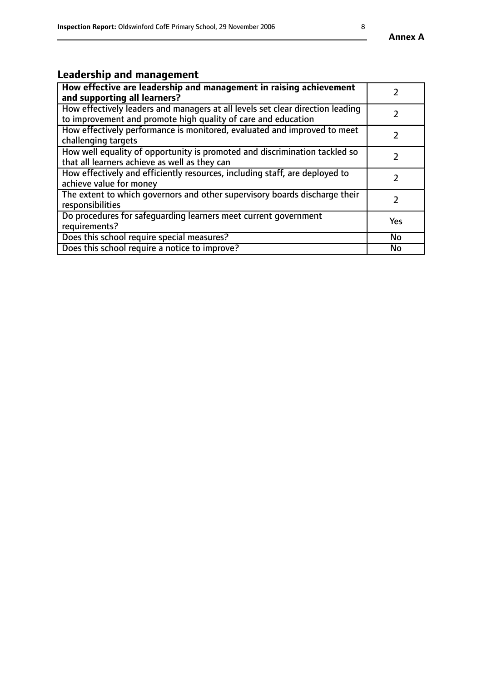# **Leadership and management**

| How effective are leadership and management in raising achievement<br>and supporting all learners?                                              |           |
|-------------------------------------------------------------------------------------------------------------------------------------------------|-----------|
| How effectively leaders and managers at all levels set clear direction leading<br>to improvement and promote high quality of care and education |           |
| How effectively performance is monitored, evaluated and improved to meet<br>challenging targets                                                 |           |
| How well equality of opportunity is promoted and discrimination tackled so<br>that all learners achieve as well as they can                     |           |
| How effectively and efficiently resources, including staff, are deployed to<br>achieve value for money                                          |           |
| The extent to which governors and other supervisory boards discharge their<br>responsibilities                                                  |           |
| Do procedures for safequarding learners meet current government<br>requirements?                                                                | Yes       |
| Does this school require special measures?                                                                                                      | No        |
| Does this school require a notice to improve?                                                                                                   | <b>No</b> |